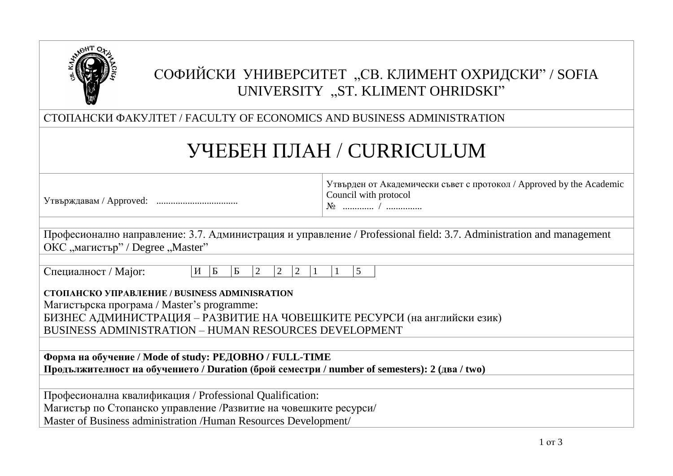

# СОФИЙСКИ УНИВЕРСИТЕТ "СВ. КЛИМЕНТ ОХРИДСКИ" / SOFIA UNIVERSITY "ST. KLIMENT OHRIDSKI"

СТОПАНСКИ ФАКУЛТЕТ / FACULTY OF ECONOMICS AND BUSINESS ADMINISTRATION

# УЧЕБЕН ПЛАН / CURRICULUM

| Утвърждавам / Approved: |  |
|-------------------------|--|
|                         |  |

Утвърден от Академически съвет с протокол / Approved by the Academic Council with protocol

№ ............. / ...............

| Професионално направление: 3.7. Администрация и управление / Professional field: 3.7. Administration and management |  |
|---------------------------------------------------------------------------------------------------------------------|--|
| ОКС "магистър" / Degree "Master"                                                                                    |  |

| Специалност / Мајог: |  |
|----------------------|--|
|----------------------|--|

 $H \begin{bmatrix} 16 \\ 2 \end{bmatrix}$   $\begin{bmatrix} 2 \\ 2 \end{bmatrix}$   $\begin{bmatrix} 2 \\ 1 \end{bmatrix}$   $\begin{bmatrix} 1 \\ 1 \end{bmatrix}$   $\begin{bmatrix} 5 \\ 1 \end{bmatrix}$ 

**СТОПАНСКО УПРАВЛЕНИЕ / BUSINESS ADMINISRATION**

Магистърска програма / Master's programme: БИЗНЕС АДМИНИСТРАЦИЯ – РАЗВИТИЕ НА ЧОВЕШКИТЕ РЕСУРСИ (на английски език)

BUSINESS ADMINISTRATION – HUMAN RESOURCES DEVELOPMENT

**Форма на обучение / Mode of study: РЕДОВНО / FULL-TIME Продължителност на обучението / Duration (брой семестри / number of semesters): 2 (два / two)**

Професионална квалификация / Professional Qualification:

Магистър по Стопанско управление /Развитие на човешките ресурси/

Master of Business administration /Human Resources Development/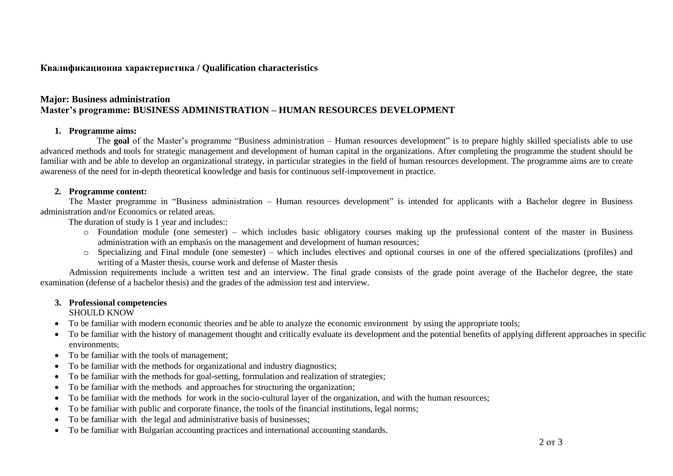# **Квалификационна характеристика / Qualification characteristics**

# **Major: Business administration Master's programme: BUSINESS ADMINISTRATION – HUMAN RESOURCES DEVELOPMENT**

#### **1. Programme aims:**

The **goal** of the Master's programme "Business administration – Human resources development" is to prepare highly skilled specialists able to use advanced methods and tools for strategic management and development of human capital in the organizations. After completing the programme the student should be familiar with and be able to develop an organizational strategy, in particular strategies in the field of human resources development. The programme aims are to create awareness of the need for in-depth theoretical knowledge and basis for continuous self-improvement in practice.

#### **2. Programme content:**

The Master programme in "Business administration – Human resources development" is intended for applicants with a Bachelor degree in Business administration and/or Economics or related areas.

The duration of study is 1 year and includes::

- o Foundation module (one semester) which includes basic obligatory courses making up the professional content of the master in Business administration with an emphasis on the management and development of human resources;
- o Specializing and Final module (one semester) which includes electives and optional courses in one of the offered specializations (profiles) and writing of a Master thesis, course work and defense of Master thesis

Admission requirements include a written test and an interview. The final grade consists of the grade point average of the Bachelor degree, the state examination (defense of a bachelor thesis) and the grades of the admission test and interview.

## **3. Professional competencies**

## SHOULD KNOW

- To be familiar with modern economic theories and be able to analyze the economic environment by using the appropriate tools;
- To be familiar with the history of management thought and critically evaluate its development and the potential benefits of applying different approaches in specific environments;
- To be familiar with the tools of management:
- To be familiar with the methods for organizational and industry diagnostics;
- To be familiar with the methods for goal-setting, formulation and realization of strategies;
- To be familiar with the methods and approaches for structuring the organization;
- To be familiar with the methods for work in the socio-cultural layer of the organization, and with the human resources;
- To be familiar with public and corporate finance, the tools of the financial institutions, legal norms;
- To be familiar with the legal and administrative basis of businesses;
- To be familiar with Bulgarian accounting practices and international accounting standards.